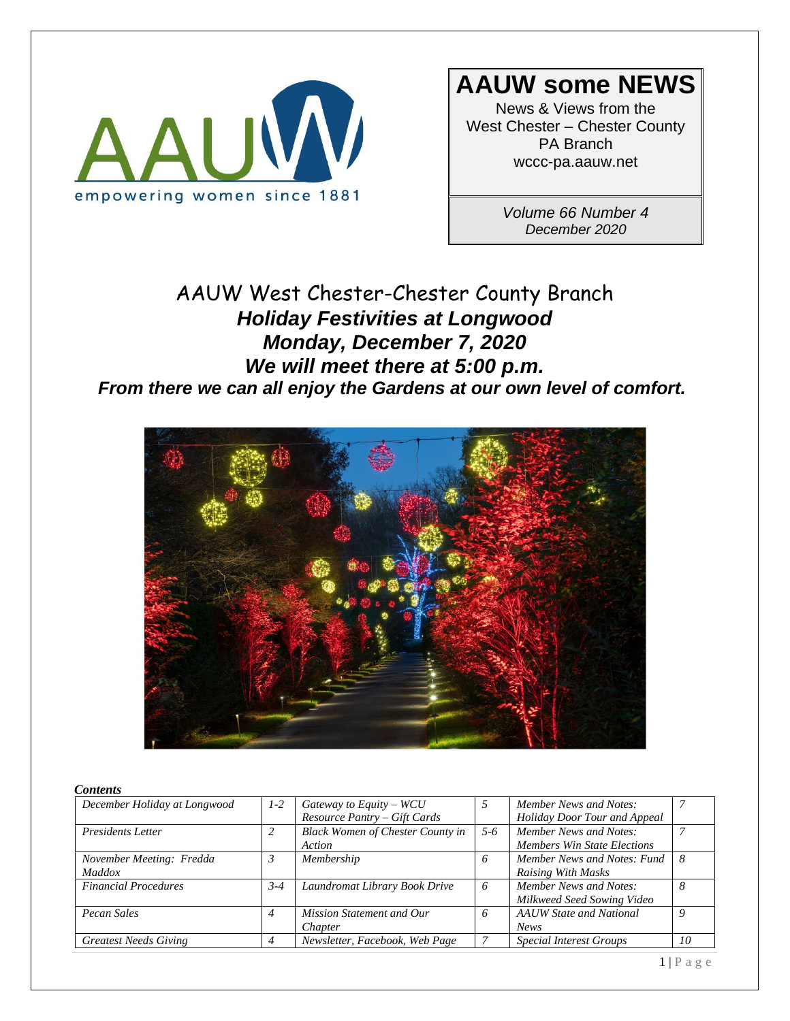

## **AAUW some NEWS**

News & Views from the West Chester – Chester County PA Branch wccc-pa.aauw.net

> *Volume 66 Number 4 December 2020*

### AAUW West Chester-Chester County Branch *Holiday Festivities at Longwood Monday, December 7, 2020 We will meet there at 5:00 p.m. From there we can all enjoy the Gardens at our own level of comfort.*



#### *Contents*

| December Holiday at Longwood | $1-2$   | Gateway to Equity – $WCU$               |         | Member News and Notes:             |          |
|------------------------------|---------|-----------------------------------------|---------|------------------------------------|----------|
|                              |         | Resource Pantry - Gift Cards            |         | Holiday Door Tour and Appeal       |          |
| <b>Presidents Letter</b>     | 2       | <b>Black Women of Chester County in</b> | $5 - 6$ | Member News and Notes:             |          |
|                              |         | Action                                  |         | <b>Members Win State Elections</b> |          |
| November Meeting: Fredda     | 3       | Membership                              | 6       | Member News and Notes: Fund        | -8       |
| <i>Maddox</i>                |         |                                         |         | <b>Raising With Masks</b>          |          |
| <b>Financial Procedures</b>  | $3 - 4$ | Laundromat Library Book Drive           | 6       | Member News and Notes:             | 8        |
|                              |         |                                         |         | Milkweed Seed Sowing Video         |          |
| Pecan Sales                  | 4       | <b>Mission Statement and Our</b>        | 6       | <b>AAUW</b> State and National     | $\Omega$ |
|                              |         | Chapter                                 |         | <b>News</b>                        |          |
| <b>Greatest Needs Giving</b> |         | Newsletter, Facebook, Web Page          |         | <b>Special Interest Groups</b>     | 10       |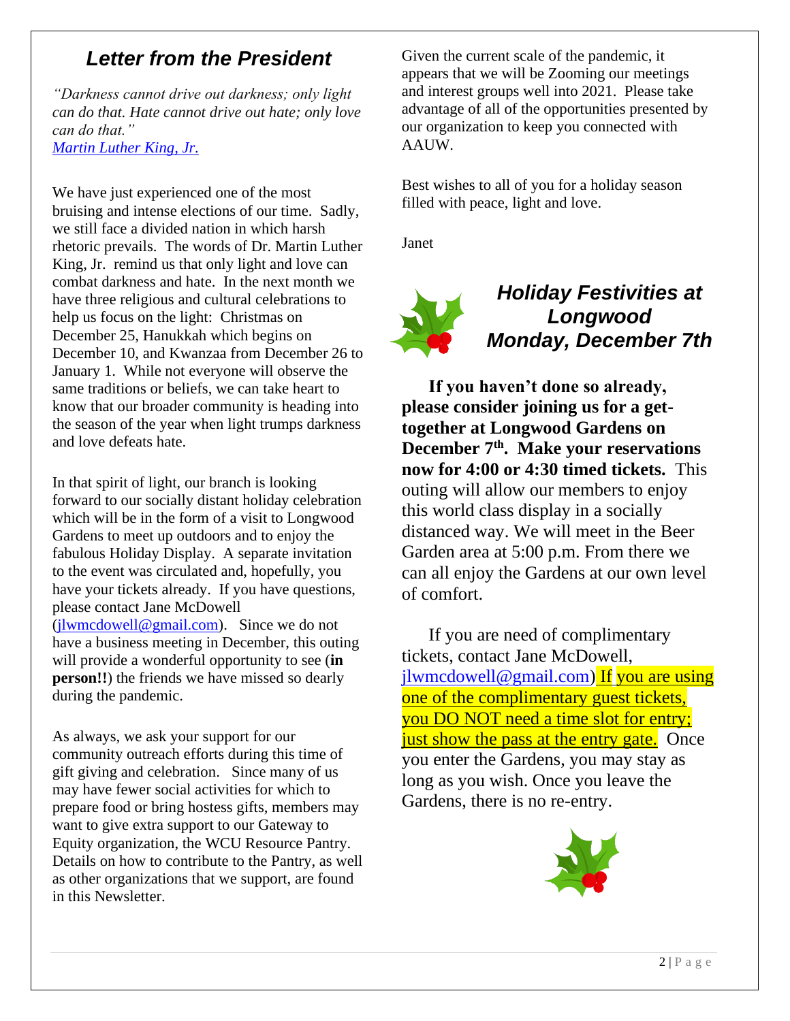### *Letter from the President*

*"Darkness cannot drive out darkness; only light can do that. Hate cannot drive out hate; only love can do that." Martin Luther King, Jr.*

We have just experienced one of the most bruising and intense elections of our time. Sadly, we still face a divided nation in which harsh rhetoric prevails. The words of Dr. Martin Luther King, Jr. remind us that only light and love can combat darkness and hate. In the next month we have three religious and cultural celebrations to help us focus on the light: Christmas on December 25, Hanukkah which begins on December 10, and Kwanzaa from December 26 to January 1. While not everyone will observe the same traditions or beliefs, we can take heart to know that our broader community is heading into the season of the year when light trumps darkness and love defeats hate.

In that spirit of light, our branch is looking forward to our socially distant holiday celebration which will be in the form of a visit to Longwood Gardens to meet up outdoors and to enjoy the fabulous Holiday Display. A separate invitation to the event was circulated and, hopefully, you have your tickets already. If you have questions, please contact Jane McDowell  $(i]$ wmcdowell@gmail.com). Since we do not have a business meeting in December, this outing will provide a wonderful opportunity to see (**in person!!**) the friends we have missed so dearly during the pandemic.

As always, we ask your support for our community outreach efforts during this time of gift giving and celebration. Since many of us may have fewer social activities for which to prepare food or bring hostess gifts, members may want to give extra support to our Gateway to Equity organization, the WCU Resource Pantry. Details on how to contribute to the Pantry, as well as other organizations that we support, are found in this Newsletter.

Given the current scale of the pandemic, it appears that we will be Zooming our meetings and interest groups well into 2021. Please take advantage of all of the opportunities presented by our organization to keep you connected with AAUW.

Best wishes to all of you for a holiday season filled with peace, light and love.

Janet



### *Holiday Festivities at Longwood Monday, December 7th*

 **If you haven't done so already, please consider joining us for a gettogether at Longwood Gardens on December 7th. Make your reservations now for 4:00 or 4:30 timed tickets.** This outing will allow our members to enjoy this world class display in a socially distanced way. We will meet in the Beer Garden area at 5:00 p.m. From there we can all enjoy the Gardens at our own level of comfort.

 If you are need of complimentary tickets, contact Jane McDowell, jlwmcdowell@gmail.com) If you are using one of the complimentary guest tickets, you DO NOT need a time slot for entry; just show the pass at the entry gate. Once you enter the Gardens, you may stay as long as you wish. Once you leave the Gardens, there is no re-entry.

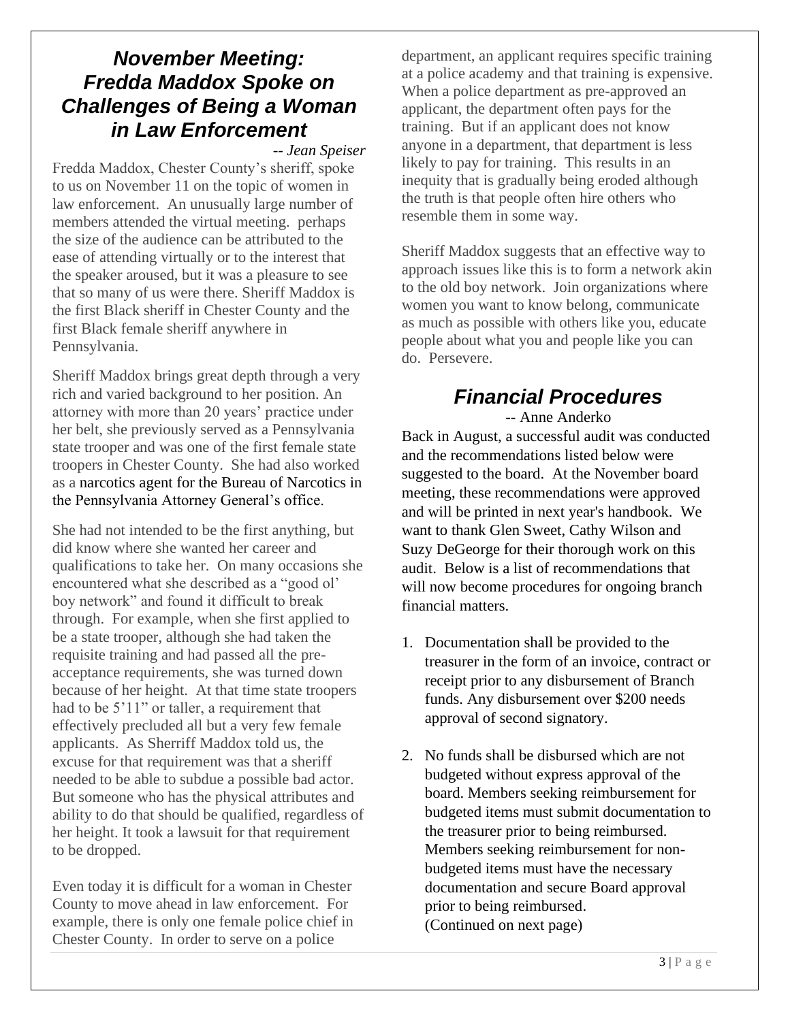### *November Meeting: Fredda Maddox Spoke on Challenges of Being a Woman in Law Enforcement*

*-- Jean Speiser*

Fredda Maddox, Chester County's sheriff, spoke to us on November 11 on the topic of women in law enforcement. An unusually large number of members attended the virtual meeting. perhaps the size of the audience can be attributed to the ease of attending virtually or to the interest that the speaker aroused, but it was a pleasure to see that so many of us were there. Sheriff Maddox is the first Black sheriff in Chester County and the first Black female sheriff anywhere in Pennsylvania.

Sheriff Maddox brings great depth through a very rich and varied background to her position. An attorney with more than 20 years' practice under her belt, she previously served as a Pennsylvania state trooper and was one of the first female state troopers in Chester County. She had also worked as a narcotics agent for the Bureau of Narcotics in the Pennsylvania Attorney General's office.

She had not intended to be the first anything, but did know where she wanted her career and qualifications to take her. On many occasions she encountered what she described as a "good ol' boy network" and found it difficult to break through. For example, when she first applied to be a state trooper, although she had taken the requisite training and had passed all the preacceptance requirements, she was turned down because of her height. At that time state troopers had to be 5'11" or taller, a requirement that effectively precluded all but a very few female applicants. As Sherriff Maddox told us, the excuse for that requirement was that a sheriff needed to be able to subdue a possible bad actor. But someone who has the physical attributes and ability to do that should be qualified, regardless of her height. It took a lawsuit for that requirement to be dropped.

Even today it is difficult for a woman in Chester County to move ahead in law enforcement. For example, there is only one female police chief in Chester County. In order to serve on a police

department, an applicant requires specific training at a police academy and that training is expensive. When a police department as pre-approved an applicant, the department often pays for the training. But if an applicant does not know anyone in a department, that department is less likely to pay for training. This results in an inequity that is gradually being eroded although the truth is that people often hire others who resemble them in some way.

Sheriff Maddox suggests that an effective way to approach issues like this is to form a network akin to the old boy network. Join organizations where women you want to know belong, communicate as much as possible with others like you, educate people about what you and people like you can do. Persevere.

## *Financial Procedures*

-- Anne Anderko

Back in August, a successful audit was conducted and the recommendations listed below were suggested to the board. At the November board meeting, these recommendations were approved and will be printed in next year's handbook. We want to thank Glen Sweet, Cathy Wilson and Suzy DeGeorge for their thorough work on this audit. Below is a list of recommendations that will now become procedures for ongoing branch financial matters.

- 1. Documentation shall be provided to the treasurer in the form of an invoice, contract or receipt prior to any disbursement of Branch funds. Any disbursement over \$200 needs approval of second signatory.
- 2. No funds shall be disbursed which are not budgeted without express approval of the board. Members seeking reimbursement for budgeted items must submit documentation to the treasurer prior to being reimbursed. Members seeking reimbursement for nonbudgeted items must have the necessary documentation and secure Board approval prior to being reimbursed. (Continued on next page)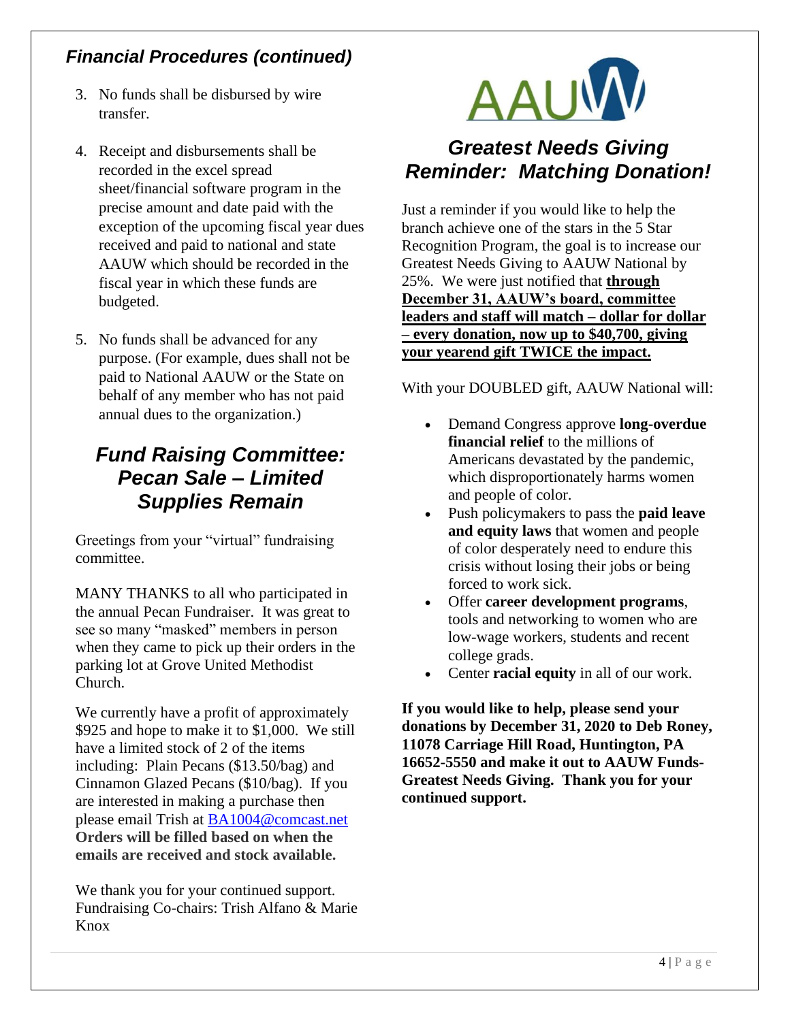### *Financial Procedures (continued)*

- 3. No funds shall be disbursed by wire transfer.
- 4. Receipt and disbursements shall be recorded in the excel spread sheet/financial software program in the precise amount and date paid with the exception of the upcoming fiscal year dues received and paid to national and state AAUW which should be recorded in the fiscal year in which these funds are budgeted.
- 5. No funds shall be advanced for any purpose. (For example, dues shall not be paid to National AAUW or the State on behalf of any member who has not paid annual dues to the organization.)

### *Fund Raising Committee: Pecan Sale – Limited Supplies Remain*

Greetings from your "virtual" fundraising committee.

MANY THANKS to all who participated in the annual Pecan Fundraiser. It was great to see so many "masked" members in person when they came to pick up their orders in the parking lot at Grove United Methodist Church.

We currently have a profit of approximately \$925 and hope to make it to \$1,000. We still have a limited stock of 2 of the items including: Plain Pecans (\$13.50/bag) and Cinnamon Glazed Pecans (\$10/bag). If you are interested in making a purchase then please email Trish at BA1004@comcast.net **Orders will be filled based on when the emails are received and stock available.**

We thank you for your continued support. Fundraising Co-chairs: Trish Alfano & Marie Knox



## *Greatest Needs Giving Reminder: Matching Donation!*

Just a reminder if you would like to help the branch achieve one of the stars in the 5 Star Recognition Program, the goal is to increase our Greatest Needs Giving to AAUW National by 25%. We were just notified that **through December 31, AAUW's board, committee leaders and staff will match – dollar for dollar – every donation, now up to \$40,700, giving your yearend gift TWICE the impact.** 

With your DOUBLED gift, AAUW National will:

- Demand Congress approve **long-overdue financial relief** to the millions of Americans devastated by the pandemic, which disproportionately harms women and people of color.
- Push policymakers to pass the **paid leave and equity laws** that women and people of color desperately need to endure this crisis without losing their jobs or being forced to work sick.
- Offer **career development programs**, tools and networking to women who are low-wage workers, students and recent college grads.
- Center **racial equity** in all of our work.

**If you would like to help, please send your donations by December 31, 2020 to Deb Roney, 11078 Carriage Hill Road, Huntington, PA 16652-5550 and make it out to AAUW Funds-Greatest Needs Giving. Thank you for your continued support.**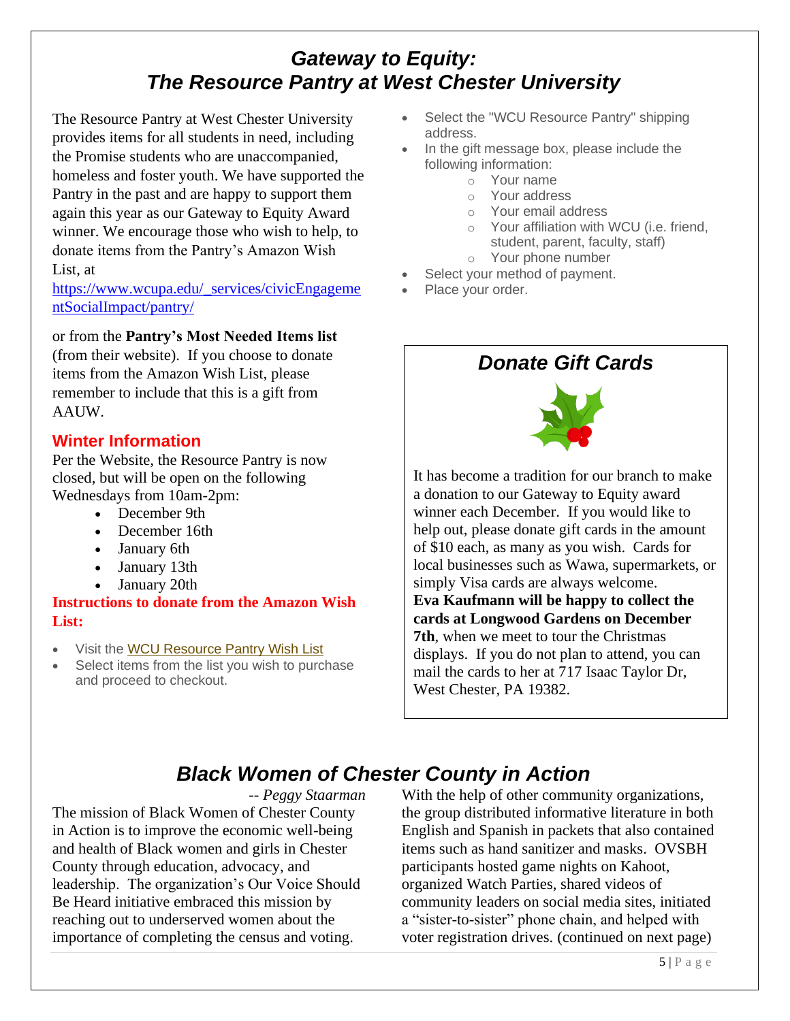## *Gateway to Equity: The Resource Pantry at West Chester University*

The Resource Pantry at West Chester University provides items for all students in need, including the Promise students who are unaccompanied, homeless and foster youth. We have supported the Pantry in the past and are happy to support them again this year as our Gateway to Equity Award winner. We encourage those who wish to help, to donate items from the Pantry's Amazon Wish List, at

https://www.wcupa.edu/\_services/civicEngageme ntSocialImpact/pantry/

#### or from the **Pantry's Most Needed Items list**

(from their website). If you choose to donate items from the Amazon Wish List, please remember to include that this is a gift from AAUW.

#### **Winter Information**

Per the Website, the Resource Pantry is now closed, but will be open on the following Wednesdays from 10am-2pm:

- December 9th
- December 16th
- January 6th
- January 13th
- January 20th

#### **Instructions to donate from the Amazon Wish List:**

- Visit the WCU Resource Pantry Wish List
- Select items from the list you wish to purchase and proceed to checkout.
- Select the "WCU Resource Pantry" shipping address.
- In the gift message box, please include the following information:
	- o Your name
	- o Your address
	- o Your email address
	- o Your affiliation with WCU (i.e. friend, student, parent, faculty, staff)
	- o Your phone number Select your method of payment.
- Place your order.

### *Donate Gift Cards*



It has become a tradition for our branch to make a donation to our Gateway to Equity award winner each December. If you would like to help out, please donate gift cards in the amount of \$10 each, as many as you wish. Cards for local businesses such as Wawa, supermarkets, or simply Visa cards are always welcome. **Eva Kaufmann will be happy to collect the cards at Longwood Gardens on December 7th**, when we meet to tour the Christmas displays. If you do not plan to attend, you can mail the cards to her at 717 Isaac Taylor Dr, West Chester, PA 19382.

## *Black Women of Chester County in Action*

*-- Peggy Staarman*

The mission of Black Women of Chester County in Action is to improve the economic well-being and health of Black women and girls in Chester County through education, advocacy, and leadership. The organization's Our Voice Should Be Heard initiative embraced this mission by reaching out to underserved women about the importance of completing the census and voting.

With the help of other community organizations, the group distributed informative literature in both English and Spanish in packets that also contained items such as hand sanitizer and masks. OVSBH participants hosted game nights on Kahoot, organized Watch Parties, shared videos of community leaders on social media sites, initiated a "sister-to-sister" phone chain, and helped with voter registration drives. (continued on next page)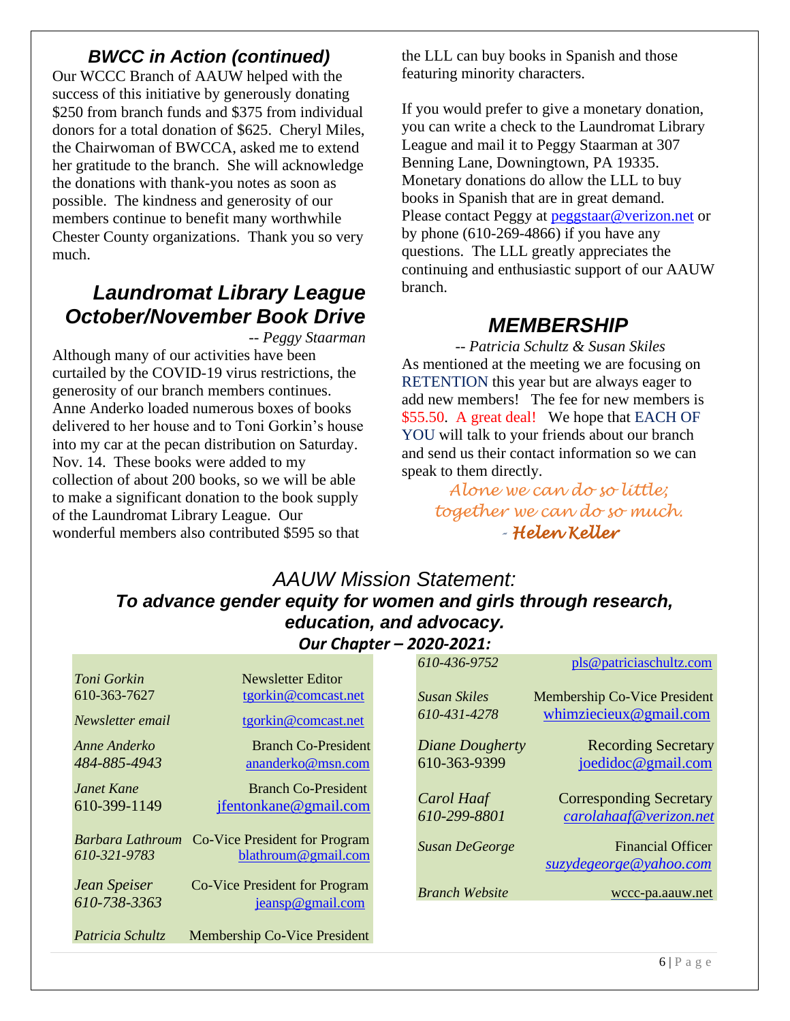### *BWCC in Action (continued)*

Our WCCC Branch of AAUW helped with the success of this initiative by generously donating \$250 from branch funds and \$375 from individual donors for a total donation of \$625. Cheryl Miles, the Chairwoman of BWCCA, asked me to extend her gratitude to the branch. She will acknowledge the donations with thank-you notes as soon as possible. The kindness and generosity of our members continue to benefit many worthwhile Chester County organizations. Thank you so very much.

## *Laundromat Library League October/November Book Drive*

*-- Peggy Staarman*

Although many of our activities have been curtailed by the COVID-19 virus restrictions, the generosity of our branch members continues. Anne Anderko loaded numerous boxes of books delivered to her house and to Toni Gorkin's house into my car at the pecan distribution on Saturday. Nov. 14. These books were added to my collection of about 200 books, so we will be able to make a significant donation to the book supply of the Laundromat Library League. Our wonderful members also contributed \$595 so that

the LLL can buy books in Spanish and those featuring minority characters.

If you would prefer to give a monetary donation, you can write a check to the Laundromat Library League and mail it to Peggy Staarman at 307 Benning Lane, Downingtown, PA 19335. Monetary donations do allow the LLL to buy books in Spanish that are in great demand. Please contact Peggy at peggstaar@verizon.net or by phone (610-269-4866) if you have any questions. The LLL greatly appreciates the continuing and enthusiastic support of our AAUW branch.

### *MEMBERSHIP*

*-- Patricia Schultz & Susan Skiles* As mentioned at the meeting we are focusing on RETENTION this year but are always eager to add new members! The fee for new members is \$55.50. A great deal! We hope that EACH OF YOU will talk to your friends about our branch and send us their contact information so we can speak to them directly.

> *Alone we can do so little; together we can do so much. - Helen Keller*

#### *AAUW Mission Statement: To advance gender equity for women and girls through research, education, and advocacy. Our Chapter – 2020-2021:*

|                              |                                                                       |  | 610-436-9752               | pls@patriciaschultz.com                                  |  |  |  |  |
|------------------------------|-----------------------------------------------------------------------|--|----------------------------|----------------------------------------------------------|--|--|--|--|
| Toni Gorkin                  | Newsletter Editor                                                     |  |                            |                                                          |  |  |  |  |
| 610-363-7627                 | tgorkin@comcast.net                                                   |  | <b>Susan Skiles</b>        | Membership Co-Vice President                             |  |  |  |  |
| Newsletter email             | tgorkin@comcast.net                                                   |  | 610-431-4278               | whimziecieux@gmail.com                                   |  |  |  |  |
| Anne Anderko                 | <b>Branch Co-President</b>                                            |  | Diane Dougherty            | <b>Recording Secretary</b>                               |  |  |  |  |
| 484-885-4943                 | ananderko@msn.com                                                     |  | 610-363-9399               | joedidoc@gmail.com                                       |  |  |  |  |
| Janet Kane<br>610-399-1149   | <b>Branch Co-President</b><br>jfentonkane@gmail.com                   |  | Carol Haaf<br>610-299-8801 | <b>Corresponding Secretary</b><br>carolahaaf@verizon.net |  |  |  |  |
| 610-321-9783                 | Barbara Lathroum Co-Vice President for Program<br>blathroum@gmail.com |  | <b>Susan DeGeorge</b>      | <b>Financial Officer</b><br>suzydegeorge@yahoo.com       |  |  |  |  |
| Jean Speiser<br>610-738-3363 | Co-Vice President for Program<br>jeansp@gmail.com                     |  | <b>Branch Website</b>      | wccc-pa.aauw.net                                         |  |  |  |  |
| Patricia Schultz             | Membership Co-Vice President                                          |  |                            |                                                          |  |  |  |  |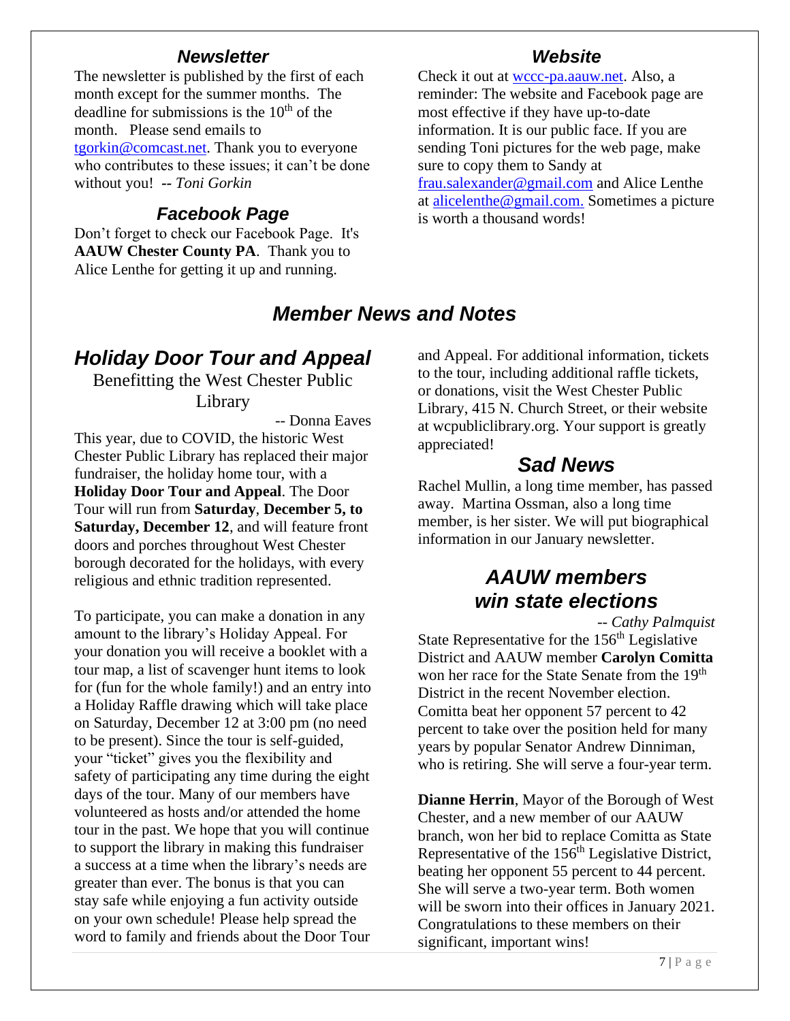#### *Newsletter*

The newsletter is published by the first of each month except for the summer months. The deadline for submissions is the  $10<sup>th</sup>$  of the month. Please send emails to tgorkin@comcast.net. Thank you to everyone who contributes to these issues; it can't be done without you! *-- Toni Gorkin*

#### *Facebook Page*

Don't forget to check our Facebook Page. It's **AAUW Chester County PA**. Thank you to Alice Lenthe for getting it up and running.

#### *Website*

Check it out at wccc-pa.aauw.net. Also, a reminder: The website and Facebook page are most effective if they have up-to-date information. It is our public face. If you are sending Toni pictures for the web page, make sure to copy them to Sandy at frau.salexander@gmail.com and Alice Lenthe at alicelenthe@gmail.com. Sometimes a picture is worth a thousand words!

### *Member News and Notes*

### *Holiday Door Tour and Appeal*

Benefitting the West Chester Public Library

-- Donna Eaves

This year, due to COVID, the historic West Chester Public Library has replaced their major fundraiser, the holiday home tour, with a **Holiday Door Tour and Appeal**. The Door Tour will run from **Saturday**, **December 5, to Saturday, December 12. and will feature front** doors and porches throughout West Chester borough decorated for the holidays, with every religious and ethnic tradition represented.

To participate, you can make a donation in any amount to the library's Holiday Appeal. For your donation you will receive a booklet with a tour map, a list of scavenger hunt items to look for (fun for the whole family!) and an entry into a Holiday Raffle drawing which will take place on Saturday, December 12 at 3:00 pm (no need to be present). Since the tour is self-guided, your "ticket" gives you the flexibility and safety of participating any time during the eight days of the tour. Many of our members have volunteered as hosts and/or attended the home tour in the past. We hope that you will continue to support the library in making this fundraiser a success at a time when the library's needs are greater than ever. The bonus is that you can stay safe while enjoying a fun activity outside on your own schedule! Please help spread the word to family and friends about the Door Tour and Appeal. For additional information, tickets to the tour, including additional raffle tickets, or donations, visit the West Chester Public Library, 415 N. Church Street, or their website at wcpubliclibrary.org. Your support is greatly appreciated!

### *Sad News*

Rachel Mullin, a long time member, has passed away. Martina Ossman, also a long time member, is her sister. We will put biographical information in our January newsletter.

## *AAUW members win state elections*

*-- Cathy Palmquist*

State Representative for the 156<sup>th</sup> Legislative District and AAUW member **Carolyn Comitta** won her race for the State Senate from the 19<sup>th</sup> District in the recent November election. Comitta beat her opponent 57 percent to 42 percent to take over the position held for many years by popular Senator Andrew Dinniman, who is retiring. She will serve a four-year term.

**Dianne Herrin**, Mayor of the Borough of West Chester, and a new member of our AAUW branch, won her bid to replace Comitta as State Representative of the 156<sup>th</sup> Legislative District, beating her opponent 55 percent to 44 percent. She will serve a two-year term. Both women will be sworn into their offices in January 2021. Congratulations to these members on their significant, important wins!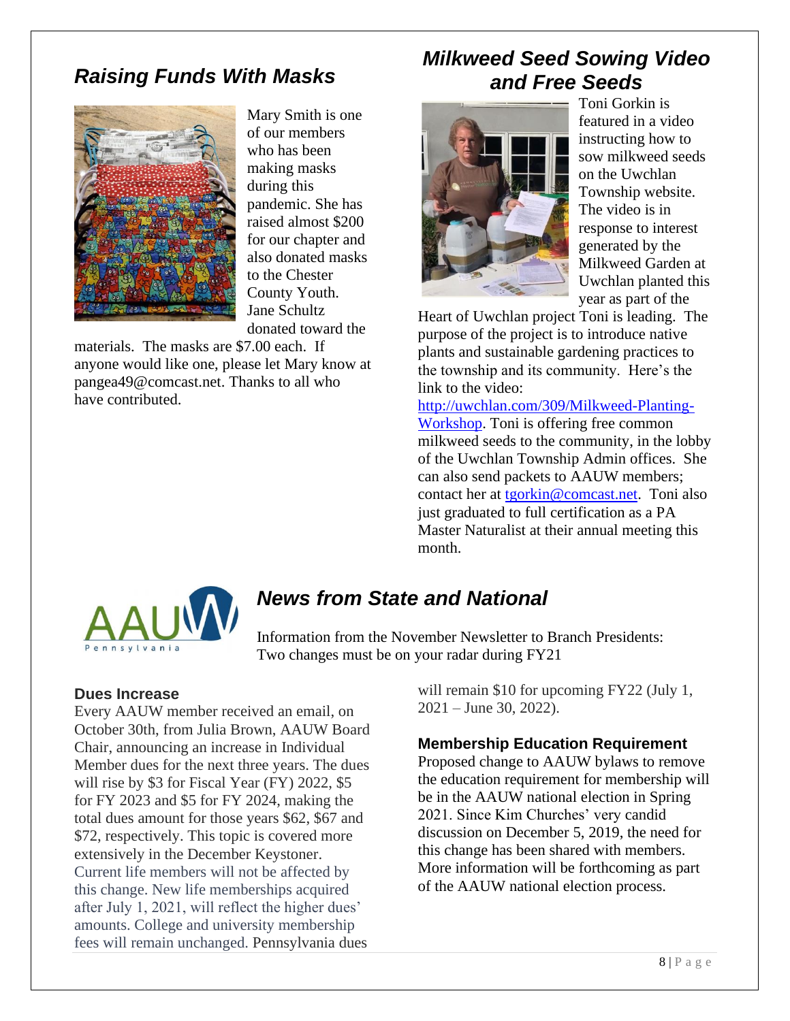### *Raising Funds With Masks*



Mary Smith is one of our members who has been making masks during this pandemic. She has raised almost \$200 for our chapter and also donated masks to the Chester County Youth. Jane Schultz donated toward the

materials. The masks are \$7.00 each. If anyone would like one, please let Mary know at pangea49@comcast.net. Thanks to all who have contributed.

### *Milkweed Seed Sowing Video and Free Seeds*



Toni Gorkin is featured in a video instructing how to sow milkweed seeds on the Uwchlan Township website. The video is in response to interest generated by the Milkweed Garden at Uwchlan planted this year as part of the

Heart of Uwchlan project Toni is leading. The purpose of the project is to introduce native plants and sustainable gardening practices to the township and its community. Here's the link to the video:

http://uwchlan.com/309/Milkweed-Planting-Workshop. Toni is offering free common milkweed seeds to the community, in the lobby of the Uwchlan Township Admin offices. She can also send packets to AAUW members; contact her at tgorkin@comcast.net. Toni also just graduated to full certification as a PA Master Naturalist at their annual meeting this month.



## *News from State and National*

Information from the November Newsletter to Branch Presidents: Two changes must be on your radar during FY21

#### **Dues Increase**

Every AAUW member received an email, on October 30th, from Julia Brown, AAUW Board Chair, announcing an increase in Individual Member dues for the next three years. The dues will rise by \$3 for Fiscal Year (FY) 2022, \$5 for FY 2023 and \$5 for FY 2024, making the total dues amount for those years \$62, \$67 and \$72, respectively. This topic is covered more extensively in the December Keystoner. Current life members will not be affected by this change. New life memberships acquired after July 1, 2021, will reflect the higher dues' amounts. College and university membership fees will remain unchanged. Pennsylvania dues

will remain \$10 for upcoming FY22 (July 1, 2021 – June 30, 2022).

#### **Membership Education Requirement**

Proposed change to AAUW bylaws to remove the education requirement for membership will be in the AAUW national election in Spring 2021. Since Kim Churches' very candid discussion on December 5, 2019, the need for this change has been shared with members. More information will be forthcoming as part of the AAUW national election process.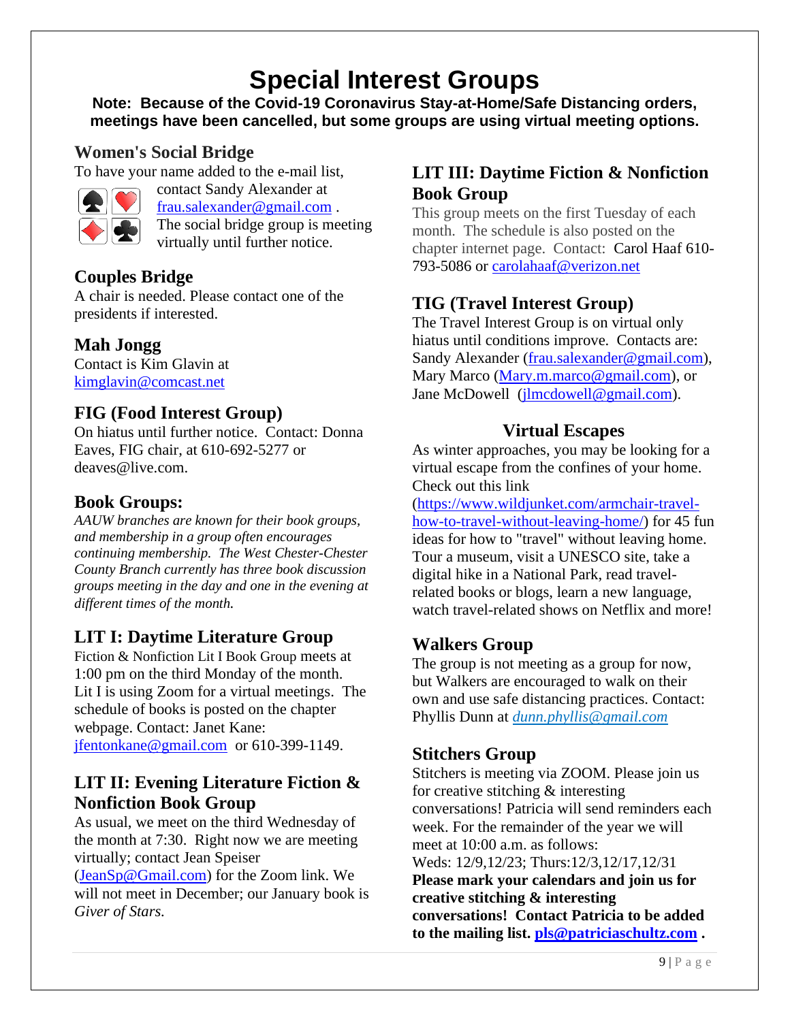# **Special Interest Groups**

**Note: Because of the Covid-19 Coronavirus Stay-at-Home/Safe Distancing orders, meetings have been cancelled, but some groups are using virtual meeting options.** 

#### **Women's Social Bridge**

To have your name added to the e-mail list,



contact Sandy Alexander at frau.salexander@gmail.com . The social bridge group is meeting virtually until further notice.

### **Couples Bridge**

A chair is needed. Please contact one of the presidents if interested.

#### **Mah Jongg**

Contact is Kim Glavin at kimglavin@comcast.net

### **FIG (Food Interest Group)**

On hiatus until further notice. Contact: Donna Eaves, FIG chair, at 610-692-5277 or deaves@live.com.

#### **Book Groups:**

*AAUW branches are known for their book groups, and membership in a group often encourages continuing membership. The West Chester-Chester County Branch currently has three book discussion groups meeting in the day and one in the evening at different times of the month.* 

### **LIT I: Daytime Literature Group**

Fiction & Nonfiction Lit I Book Group meets at 1:00 pm on the third Monday of the month. Lit I is using Zoom for a virtual meetings. The schedule of books is posted on the chapter webpage. Contact: Janet Kane: jfentonkane@gmail.com or 610-399-1149.

#### **LIT II: Evening Literature Fiction & Nonfiction Book Group**

As usual, we meet on the third Wednesday of the month at 7:30. Right now we are meeting virtually; contact Jean Speiser

(JeanSp@Gmail.com) for the Zoom link. We will not meet in December; our January book is *Giver of Stars.*

#### **LIT III: Daytime Fiction & Nonfiction Book Group**

This group meets on the first Tuesday of each month. The schedule is also posted on the chapter internet page. Contact: Carol Haaf 610- 793-5086 or carolahaaf@verizon.net

### **TIG (Travel Interest Group)**

The Travel Interest Group is on virtual only hiatus until conditions improve. Contacts are: Sandy Alexander (frau.salexander@gmail.com), Mary Marco (Mary.m.marco@gmail.com), or Jane McDowell (jlmcdowell@gmail.com).

### **Virtual Escapes**

As winter approaches, you may be looking for a virtual escape from the confines of your home. Check out this link

(https://www.wildjunket.com/armchair-travelhow-to-travel-without-leaving-home/) for 45 fun ideas for how to "travel" without leaving home. Tour a museum, visit a UNESCO site, take a digital hike in a National Park, read travelrelated books or blogs, learn a new language, watch travel-related shows on Netflix and more!

### **Walkers Group**

The group is not meeting as a group for now, but Walkers are encouraged to walk on their own and use safe distancing practices. Contact: Phyllis Dunn at *dunn.phyllis@gmail.com*

### **Stitchers Group**

Stitchers is meeting via ZOOM. Please join us for creative stitching & interesting conversations! Patricia will send reminders each week. For the remainder of the year we will meet at 10:00 a.m. as follows: Weds: 12/9,12/23; Thurs:12/3,12/17,12/31 **Please mark your calendars and join us for creative stitching & interesting conversations! Contact Patricia to be added to the mailing list. pls@patriciaschultz.com .**